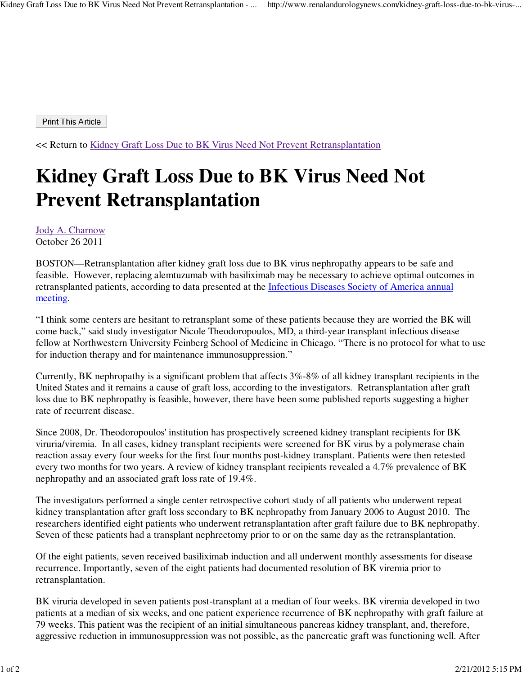**Print This Article** 

<< Return to Kidney Graft Loss Due to BK Virus Need Not Prevent Retransplantation

## **Kidney Graft Loss Due to BK Virus Need Not Prevent Retransplantation**

Jody A. Charnow October 26 2011

BOSTON—Retransplantation after kidney graft loss due to BK virus nephropathy appears to be safe and feasible. However, replacing alemtuzumab with basiliximab may be necessary to achieve optimal outcomes in retransplanted patients, according to data presented at the Infectious Diseases Society of America annual meeting.

"I think some centers are hesitant to retransplant some of these patients because they are worried the BK will come back," said study investigator Nicole Theodoropoulos, MD, a third-year transplant infectious disease fellow at Northwestern University Feinberg School of Medicine in Chicago. "There is no protocol for what to use for induction therapy and for maintenance immunosuppression."

Currently, BK nephropathy is a significant problem that affects 3%-8% of all kidney transplant recipients in the United States and it remains a cause of graft loss, according to the investigators. Retransplantation after graft loss due to BK nephropathy is feasible, however, there have been some published reports suggesting a higher rate of recurrent disease.

Since 2008, Dr. Theodoropoulos' institution has prospectively screened kidney transplant recipients for BK viruria/viremia. In all cases, kidney transplant recipients were screened for BK virus by a polymerase chain reaction assay every four weeks for the first four months post-kidney transplant. Patients were then retested every two months for two years. A review of kidney transplant recipients revealed a 4.7% prevalence of BK nephropathy and an associated graft loss rate of 19.4%.

The investigators performed a single center retrospective cohort study of all patients who underwent repeat kidney transplantation after graft loss secondary to BK nephropathy from January 2006 to August 2010. The researchers identified eight patients who underwent retransplantation after graft failure due to BK nephropathy. Seven of these patients had a transplant nephrectomy prior to or on the same day as the retransplantation.

Of the eight patients, seven received basiliximab induction and all underwent monthly assessments for disease recurrence. Importantly, seven of the eight patients had documented resolution of BK viremia prior to retransplantation.

BK viruria developed in seven patients post-transplant at a median of four weeks. BK viremia developed in two patients at a median of six weeks, and one patient experience recurrence of BK nephropathy with graft failure at 79 weeks. This patient was the recipient of an initial simultaneous pancreas kidney transplant, and, therefore, aggressive reduction in immunosuppression was not possible, as the pancreatic graft was functioning well. After